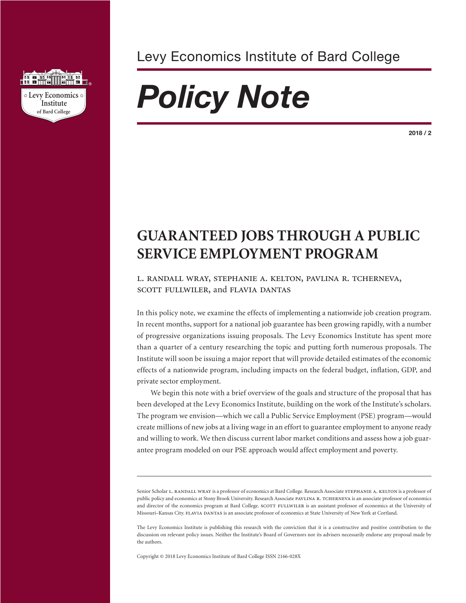

Levy Economics Institute of Bard College

# *Policy Note*

**2018 / 2**

## **GUARANTEED JOBS THROUGH A PUBLIC SERVICE EMPLOYMENT PROGRAM**

### l. randall wray, stephanie a. kelton, pavlina r. tcherneva, SCOTT FULLWILER, and FLAVIA DANTAS

In this policy note, we examine the effects of implementing a nationwide job creation program. In recent months, support for a national job guarantee has been growing rapidly, with a number of progressive organizations issuing proposals. The Levy Economics Institute has spent more than a quarter of a century researching the topic and putting forth numerous proposals. The Institute will soon be issuing a major report that will provide detailed estimates of the economic effects of a nationwide program, including impacts on the federal budget, inflation, GDP, and private sector employment.

We begin this note with a brief overview of the goals and structure of the proposal that has been developed at the Levy Economics Institute, building on the work of the Institute's scholars. The program we envision—which we call a Public Service Employment (PSE) program—would create millions of new jobs at a living wage in an effort to guarantee employment to anyone ready and willing to work. We then discuss current labor market conditions and assess how a job guarantee program modeled on our PSE approach would affect employment and poverty.

Senior Scholar L. RANDALL WRAY is a professor of economics at Bard College. Research Associate STEPHANIE A. KELTON is a professor of public policy and economics at Stony Brook University. Research Associate PAVLINA R. TCHERNEVA is an associate professor of economics and director of the economics program at Bard College. SCOTT FULLWILER is an assistant professor of economics at the University of Missouri–Kansas City. flavia dantas is an associate professor of economics at State University of New York at Cortland.

The Levy Economics Institute is publishing this research with the conviction that it is a constructive and positive contribution to the discussion on relevant policy issues. Neither the Institute's Board of Governors nor its advisers necessarily endorse any proposal made by the authors.

Copyright © 2018 Levy Economics Institute of Bard College ISSN 2166-028X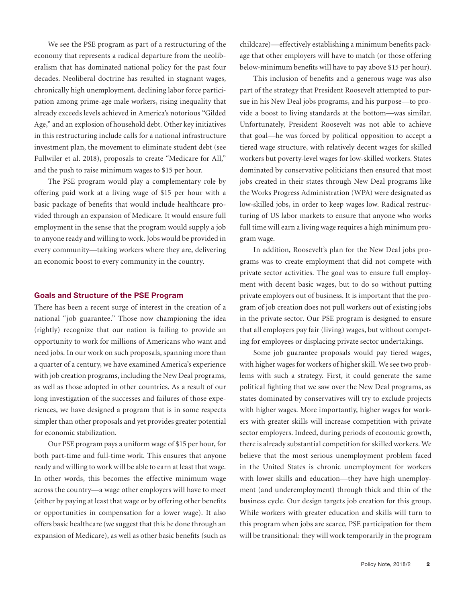We see the PSE program as part of a restructuring of the economy that represents a radical departure from the neoliberalism that has dominated national policy for the past four decades. Neoliberal doctrine has resulted in stagnant wages, chronically high unemployment, declining labor force participation among prime-age male workers, rising inequality that already exceeds levels achieved in America's notorious "Gilded Age," and an explosion of household debt. Other key initiatives in this restructuring include calls for a national infrastructure investment plan, the movement to eliminate student debt (see Fullwiler et al. 2018), proposals to create "Medicare for All," and the push to raise minimum wages to \$15 per hour.

The PSE program would play a complementary role by offering paid work at a living wage of \$15 per hour with a basic package of benefits that would include healthcare provided through an expansion of Medicare. It would ensure full employment in the sense that the program would supply a job to anyone ready and willing to work. Jobs would be provided in every community—taking workers where they are, delivering an economic boost to every community in the country.

#### **Goals and Structure of the PSE Program**

There has been a recent surge of interest in the creation of a national "job guarantee." Those now championing the idea (rightly) recognize that our nation is failing to provide an opportunity to work for millions of Americans who want and need jobs. In our work on such proposals, spanning more than a quarter of a century, we have examined America's experience with job creation programs, including the New Deal programs, as well as those adopted in other countries. As a result of our long investigation of the successes and failures of those experiences, we have designed a program that is in some respects simpler than other proposals and yet provides greater potential for economic stabilization.

Our PSE program pays a uniform wage of \$15 per hour, for both part-time and full-time work. This ensures that anyone ready and willing to work will be able to earn at least that wage. In other words, this becomes the effective minimum wage across the country—a wage other employers will have to meet (either by paying at least that wage or by offering other benefits or opportunities in compensation for a lower wage). It also offers basic healthcare (we suggest that this be done through an expansion of Medicare), as well as other basic benefits (such as

childcare)—effectively establishing a minimum benefits package that other employers will have to match (or those offering below-minimum benefits will have to pay above \$15 per hour).

This inclusion of benefits and a generous wage was also part of the strategy that President Roosevelt attempted to pursue in his New Deal jobs programs, and his purpose—to provide a boost to living standards at the bottom—was similar. Unfortunately, President Roosevelt was not able to achieve that goal—he was forced by political opposition to accept a tiered wage structure, with relatively decent wages for skilled workers but poverty-level wages for low-skilled workers. States dominated by conservative politicians then ensured that most jobs created in their states through New Deal programs like the Works Progress Administration (WPA) were designated as low-skilled jobs, in order to keep wages low. Radical restructuring of US labor markets to ensure that anyone who works full time will earn a living wage requires a high minimum program wage.

In addition, Roosevelt's plan for the New Deal jobs programs was to create employment that did not compete with private sector activities. The goal was to ensure full employment with decent basic wages, but to do so without putting private employers out of business. It is important that the program of job creation does not pull workers out of existing jobs in the private sector. Our PSE program is designed to ensure that all employers pay fair (living) wages, but without competing for employees or displacing private sector undertakings.

Some job guarantee proposals would pay tiered wages, with higher wages for workers of higher skill. We see two problems with such a strategy. First, it could generate the same political fighting that we saw over the New Deal programs, as states dominated by conservatives will try to exclude projects with higher wages. More importantly, higher wages for workers with greater skills will increase competition with private sector employers. Indeed, during periods of economic growth, there is already substantial competition for skilled workers. We believe that the most serious unemployment problem faced in the United States is chronic unemployment for workers with lower skills and education—they have high unemployment (and underemployment) through thick and thin of the business cycle. Our design targets job creation for this group. While workers with greater education and skills will turn to this program when jobs are scarce, PSE participation for them will be transitional: they will work temporarily in the program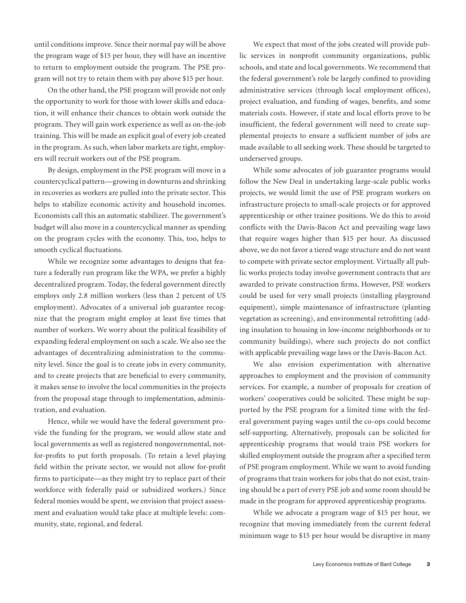until conditions improve. Since their normal pay will be above the program wage of \$15 per hour, they will have an incentive to return to employment outside the program. The PSE program will not try to retain them with pay above \$15 per hour.

On the other hand, the PSE program will provide not only the opportunity to work for those with lower skills and education, it will enhance their chances to obtain work outside the program. They will gain work experience as well as on-the-job training. This will be made an explicit goal of every job created in the program. As such, when labor markets are tight, employers will recruit workers out of the PSE program.

By design, employment in the PSE program will move in a countercyclical pattern—growing in downturns and shrinking in recoveries as workers are pulled into the private sector. This helps to stabilize economic activity and household incomes. Economists call this an automatic stabilizer. The government's budget will also move in a countercyclical manner as spending on the program cycles with the economy. This, too, helps to smooth cyclical fluctuations.

While we recognize some advantages to designs that feature a federally run program like the WPA, we prefer a highly decentralized program. Today, the federal government directly employs only 2.8 million workers (less than 2 percent of US employment). Advocates of a universal job guarantee recognize that the program might employ at least five times that number of workers. We worry about the political feasibility of expanding federal employment on such a scale. We also see the advantages of decentralizing administration to the community level. Since the goal is to create jobs in every community, and to create projects that are beneficial to every community, it makes sense to involve the local communities in the projects from the proposal stage through to implementation, administration, and evaluation.

Hence, while we would have the federal government provide the funding for the program, we would allow state and local governments as well as registered nongovernmental, notfor-profits to put forth proposals. (To retain a level playing field within the private sector, we would not allow for-profit firms to participate—as they might try to replace part of their workforce with federally paid or subsidized workers.) Since federal monies would be spent, we envision that project assessment and evaluation would take place at multiple levels: community, state, regional, and federal.

We expect that most of the jobs created will provide public services in nonprofit community organizations, public schools, and state and local governments. We recommend that the federal government's role be largely confined to providing administrative services (through local employment offices), project evaluation, and funding of wages, benefits, and some materials costs. However, if state and local efforts prove to be insufficient, the federal government will need to create supplemental projects to ensure a sufficient number of jobs are made available to all seeking work. These should be targeted to underserved groups.

While some advocates of job guarantee programs would follow the New Deal in undertaking large-scale public works projects, we would limit the use of PSE program workers on infrastructure projects to small-scale projects or for approved apprenticeship or other trainee positions. We do this to avoid conflicts with the Davis-Bacon Act and prevailing wage laws that require wages higher than \$15 per hour. As discussed above, we do not favor a tiered wage structure and do not want to compete with private sector employment. Virtually all public works projects today involve government contracts that are awarded to private construction firms. However, PSE workers could be used for very small projects (installing playground equipment), simple maintenance of infrastructure (planting vegetation as screening), and environmental retrofitting (adding insulation to housing in low-income neighborhoods or to community buildings), where such projects do not conflict with applicable prevailing wage laws or the Davis-Bacon Act.

We also envision experimentation with alternative approaches to employment and the provision of community services. For example, a number of proposals for creation of workers' cooperatives could be solicited. These might be supported by the PSE program for a limited time with the federal government paying wages until the co-ops could become self-supporting. Alternatively, proposals can be solicited for apprenticeship programs that would train PSE workers for skilled employment outside the program after a specified term of PSE program employment. While we want to avoid funding of programs that train workers for jobs that do not exist, training should be a part of every PSE job and some room should be made in the program for approved apprenticeship programs.

While we advocate a program wage of \$15 per hour, we recognize that moving immediately from the current federal minimum wage to \$15 per hour would be disruptive in many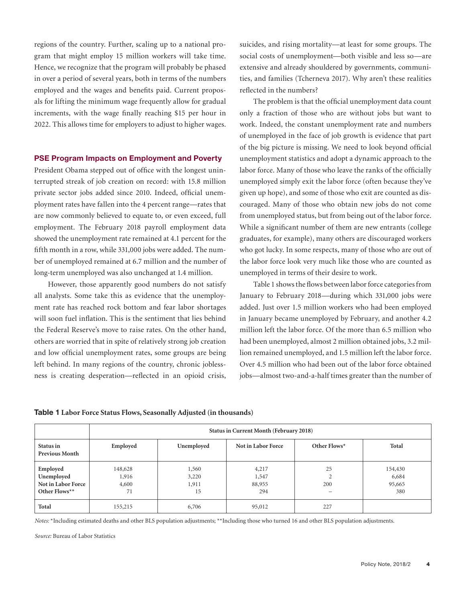regions of the country. Further, scaling up to a national program that might employ 15 million workers will take time. Hence, we recognize that the program will probably be phased in over a period of several years, both in terms of the numbers employed and the wages and benefits paid. Current proposals for lifting the minimum wage frequently allow for gradual increments, with the wage finally reaching \$15 per hour in 2022. This allows time for employers to adjust to higher wages.

#### **PSE Program Impacts on Employment and Poverty**

President Obama stepped out of office with the longest uninterrupted streak of job creation on record: with 15.8 million private sector jobs added since 2010. Indeed, official unemployment rates have fallen into the 4 percent range—rates that are now commonly believed to equate to, or even exceed, full employment. The February 2018 payroll employment data showed the unemployment rate remained at 4.1 percent for the fifth month in a row, while 331,000 jobs were added. The number of unemployed remained at 6.7 million and the number of long-term unemployed was also unchanged at 1.4 million.

However, those apparently good numbers do not satisfy all analysts. Some take this as evidence that the unemployment rate has reached rock bottom and fear labor shortages will soon fuel inflation. This is the sentiment that lies behind the Federal Reserve's move to raise rates. On the other hand, others are worried that in spite of relatively strong job creation and low official unemployment rates, some groups are being left behind. In many regions of the country, chronic joblessness is creating desperation—reflected in an opioid crisis,

suicides, and rising mortality—at least for some groups. The social costs of unemployment—both visible and less so—are extensive and already shouldered by governments, communities, and families (Tcherneva 2017). Why aren't these realities reflected in the numbers?

The problem is that the official unemployment data count only a fraction of those who are without jobs but want to work. Indeed, the constant unemployment rate and numbers of unemployed in the face of job growth is evidence that part of the big picture is missing. We need to look beyond official unemployment statistics and adopt a dynamic approach to the labor force. Many of those who leave the ranks of the officially unemployed simply exit the labor force (often because they've given up hope), and some of those who exit are counted as discouraged. Many of those who obtain new jobs do not come from unemployed status, but from being out of the labor force. While a significant number of them are new entrants (college graduates, for example), many others are discouraged workers who got lucky. In some respects, many of those who are out of the labor force look very much like those who are counted as unemployed in terms of their desire to work.

Table 1 shows the flows between labor force categories from January to February 2018—during which 331,000 jobs were added. Just over 1.5 million workers who had been employed in January became unemployed by February, and another 4.2 million left the labor force. Of the more than 6.5 million who had been unemployed, almost 2 million obtained jobs, 3.2 million remained unemployed, and 1.5 million left the labor force. Over 4.5 million who had been out of the labor force obtained jobs—almost two-and-a-half times greater than the number of

**Table 1 Labor Force Status Flows, Seasonally Adjusted (in thousands)**

|                                            | <b>Status in Current Month (February 2018)</b> |                |                    |                                 |                  |
|--------------------------------------------|------------------------------------------------|----------------|--------------------|---------------------------------|------------------|
| Status in<br><b>Previous Month</b>         | Employed                                       | Unemployed     | Not in Labor Force | Other Flows*                    | <b>Total</b>     |
| Employed<br>Unemployed                     | 148,628<br>1,916                               | 1,560<br>3,220 | 4,217<br>1,547     | 25                              | 154,430<br>6,684 |
| <b>Not in Labor Force</b><br>Other Flows** | 4,600<br>71                                    | 1,911<br>15    | 88,955<br>294      | 200<br>$\overline{\phantom{0}}$ | 95,665<br>380    |
| Total                                      | 155,215                                        | 6,706          | 95,012             | 227                             |                  |

*Notes:* \*Including estimated deaths and other BLS population adjustments; \*\*Including those who turned 16 and other BLS population adjustments.

*Source:* Bureau of Labor Statistics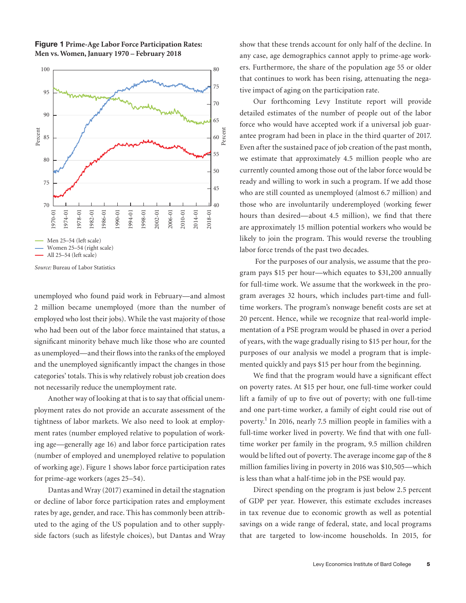

**Figure 1 Prime-Age Labor Force Participation Rates: Men vs. Women,January 1970 – February 2018**

*Source:* Bureau of Labor Statistics

unemployed who found paid work in February—and almost 2 million became unemployed (more than the number of employed who lost their jobs). While the vast majority of those who had been out of the labor force maintained that status, a significant minority behave much like those who are counted as unemployed—and their flows into the ranks of the employed and the unemployed significantly impact the changes in those categories' totals. This is why relatively robust job creation does not necessarily reduce the unemployment rate.

Another way of looking at that is to say that official unemployment rates do not provide an accurate assessment of the tightness of labor markets. We also need to look at employment rates (number employed relative to population of working age—generally age 16) and labor force participation rates (number of employed and unemployed relative to population of working age). Figure 1 shows labor force participation rates for prime-age workers (ages 25–54).

Dantas and Wray (2017) examined in detail the stagnation or decline of labor force participation rates and employment rates by age, gender, and race. This has commonly been attributed to the aging of the US population and to other supplyside factors (such as lifestyle choices), but Dantas and Wray show that these trends account for only half of the decline. In any case, age demographics cannot apply to prime-age workers. Furthermore, the share of the population age 55 or older that continues to work has been rising, attenuating the negative impact of aging on the participation rate.

Our forthcoming Levy Institute report will provide detailed estimates of the number of people out of the labor force who would have accepted work if a universal job guarantee program had been in place in the third quarter of 2017. Even after the sustained pace of job creation of the past month, we estimate that approximately 4.5 million people who are currently counted among those out of the labor force would be ready and willing to work in such a program. If we add those who are still counted as unemployed (almost 6.7 million) and those who are involuntarily underemployed (working fewer hours than desired—about 4.5 million), we find that there are approximately 15 million potential workers who would be likely to join the program. This would reverse the troubling labor force trends of the past two decades.

 For the purposes of our analysis, we assume that the program pays \$15 per hour—which equates to \$31,200 annually for full-time work. We assume that the workweek in the program averages 32 hours, which includes part-time and fulltime workers. The program's nonwage benefit costs are set at 20 percent. Hence, while we recognize that real-world implementation of a PSE program would be phased in over a period of years, with the wage gradually rising to \$15 per hour, for the purposes of our analysis we model a program that is implemented quickly and pays \$15 per hour from the beginning.

We find that the program would have a significant effect on poverty rates. At \$15 per hour, one full-time worker could lift a family of up to five out of poverty; with one full-time and one part-time worker, a family of eight could rise out of poverty.<sup>1</sup> In 2016, nearly 7.5 million people in families with a full-time worker lived in poverty. We find that with one fulltime worker per family in the program, 9.5 million children would be lifted out of poverty. The average income gap of the 8 million families living in poverty in 2016 was \$10,505—which is less than what a half-time job in the PSE would pay.

Direct spending on the program is just below 2.5 percent of GDP per year. However, this estimate excludes increases in tax revenue due to economic growth as well as potential savings on a wide range of federal, state, and local programs that are targeted to low-income households. In 2015, for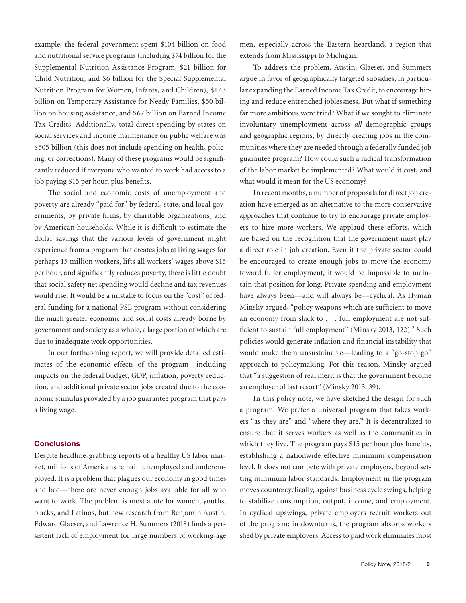example, the federal government spent \$104 billion on food and nutritional service programs (including \$74 billion for the Supplemental Nutrition Assistance Program, \$21 billion for Child Nutrition, and \$6 billion for the Special Supplemental Nutrition Program for Women, Infants, and Children), \$17.3 billion on Temporary Assistance for Needy Families, \$50 billion on housing assistance, and \$67 billion on Earned Income Tax Credits. Additionally, total direct spending by states on social services and income maintenance on public welfare was \$505 billion (this does not include spending on health, policing, or corrections). Many of these programs would be significantly reduced if everyone who wanted to work had access to a job paying \$15 per hour, plus benefits.

The social and economic costs of unemployment and poverty are already "paid for" by federal, state, and local governments, by private firms, by charitable organizations, and by American households. While it is difficult to estimate the dollar savings that the various levels of government might experience from a program that creates jobs at living wages for perhaps 15 million workers, lifts all workers' wages above \$15 per hour, and significantly reduces poverty, there is little doubt that social safety net spending would decline and tax revenues would rise. It would be a mistake to focus on the "cost" of federal funding for a national PSE program without considering the much greater economic and social costs already borne by government and society as a whole, a large portion of which are due to inadequate work opportunities.

In our forthcoming report, we will provide detailed estimates of the economic effects of the program—including impacts on the federal budget, GDP, inflation, poverty reduction, and additional private sector jobs created due to the economic stimulus provided by a job guarantee program that pays a living wage.

#### **Conclusions**

Despite headline-grabbing reports of a healthy US labor market, millions of Americans remain unemployed and underemployed. It is a problem that plagues our economy in good times and bad—there are never enough jobs available for all who want to work. The problem is most acute for women, youths, blacks, and Latinos, but new research from Benjamin Austin, Edward Glaeser, and Lawrence H. Summers (2018) finds a persistent lack of employment for large numbers of working-age men, especially across the Eastern heartland, a region that extends from Mississippi to Michigan.

To address the problem, Austin, Glaeser, and Summers argue in favor of geographically targeted subsidies, in particular expanding the Earned Income Tax Credit, to encourage hiring and reduce entrenched joblessness. But what if something far more ambitious were tried? What if we sought to eliminate involuntary unemployment across *all* demographic groups and geographic regions, by directly creating jobs in the communities where they are needed through a federally funded job guarantee program? How could such a radical transformation of the labor market be implemented? What would it cost, and what would it mean for the US economy?

In recent months, a number of proposals for direct job creation have emerged as an alternative to the more conservative approaches that continue to try to encourage private employers to hire more workers. We applaud these efforts, which are based on the recognition that the government must play a direct role in job creation. Even if the private sector could be encouraged to create enough jobs to move the economy toward fuller employment, it would be impossible to maintain that position for long. Private spending and employment have always been—and will always be—cyclical. As Hyman Minsky argued, "policy weapons which are sufficient to move an economy from slack to . . . full employment are not sufficient to sustain full employment" (Minsky 2013, 122).<sup>2</sup> Such policies would generate inflation and financial instability that would make them unsustainable—leading to a "go-stop-go" approach to policymaking. For this reason, Minsky argued that "a suggestion of real merit is that the government become an employer of last resort" (Minsky 2013, 39).

In this policy note, we have sketched the design for such a program. We prefer a universal program that takes workers "as they are" and "where they are." It is decentralized to ensure that it serves workers as well as the communities in which they live. The program pays \$15 per hour plus benefits, establishing a nationwide effective minimum compensation level. It does not compete with private employers, beyond setting minimum labor standards. Employment in the program moves countercyclically, against business cycle swings, helping to stabilize consumption, output, income, and employment. In cyclical upswings, private employers recruit workers out of the program; in downturns, the program absorbs workers shed by private employers. Access to paid work eliminates most